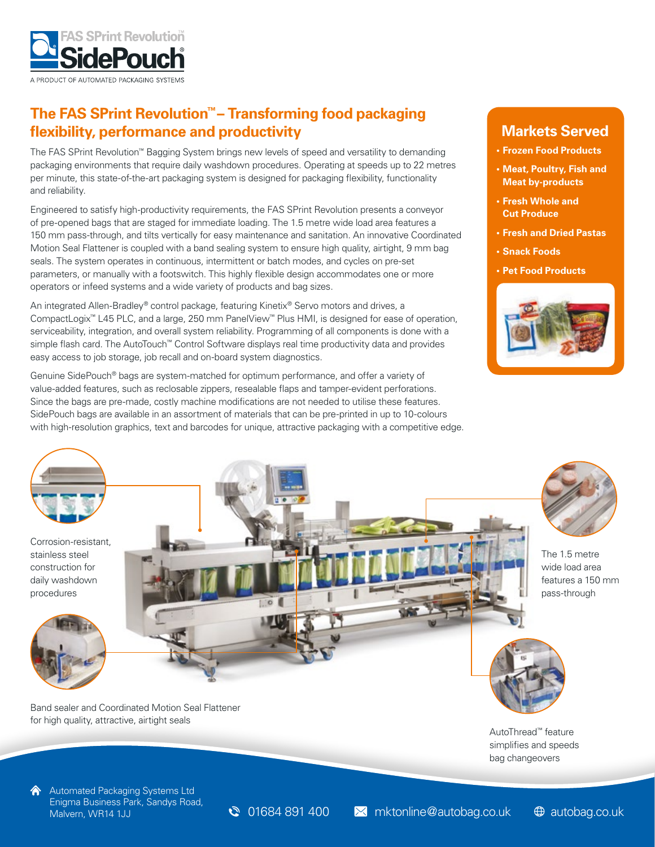

# **The FAS SPrint Revolution™– Transforming food packaging flexibility, performance and productivity**

The FAS SPrint Revolution™ Bagging System brings new levels of speed and versatility to demanding packaging environments that require daily washdown procedures. Operating at speeds up to 22 metres per minute, this state-of-the-art packaging system is designed for packaging flexibility, functionality and reliability.

Engineered to satisfy high-productivity requirements, the FAS SPrint Revolution presents a conveyor of pre-opened bags that are staged for immediate loading. The 1.5 metre wide load area features a 150 mm pass-through, and tilts vertically for easy maintenance and sanitation. An innovative Coordinated Motion Seal Flattener is coupled with a band sealing system to ensure high quality, airtight, 9 mm bag seals. The system operates in continuous, intermittent or batch modes, and cycles on pre-set parameters, or manually with a footswitch. This highly flexible design accommodates one or more operators or infeed systems and a wide variety of products and bag sizes.

An integrated Allen-Bradley® control package, featuring Kinetix® Servo motors and drives, a CompactLogix™ L45 PLC, and a large, 250 mm PanelView™ Plus HMI, is designed for ease of operation, serviceability, integration, and overall system reliability. Programming of all components is done with a simple flash card. The AutoTouch™ Control Software displays real time productivity data and provides easy access to job storage, job recall and on-board system diagnostics.

Genuine SidePouch® bags are system-matched for optimum performance, and offer a variety of value-added features, such as reclosable zippers, resealable flaps and tamper-evident perforations. Since the bags are pre-made, costly machine modifications are not needed to utilise these features. SidePouch bags are available in an assortment of materials that can be pre-printed in up to 10-colours with high-resolution graphics, text and barcodes for unique, attractive packaging with a competitive edge.

### **Markets Served**

- **• Frozen Food Products**
- **• Meat, Poultry, Fish and Meat by-products**
- **• Fresh Whole and Cut Produce**
- **• Fresh and Dried Pastas**
- **• Snack Foods**
- **• Pet Food Products**





stainless steel construction for daily washdown procedures







The 1.5 metre wide load area features a 150 mm pass-through



AutoThread™ feature simplifies and speeds bag changeovers

Band sealer and Coordinated Motion Seal Flattener for high quality, attractive, airtight seals

Automated Packaging Systems Ltd Enigma Business Park, Sandys Road,

Malvern, WR14 1JJ Malvern, WR14 1JJ Malvern, WR14 1JJ